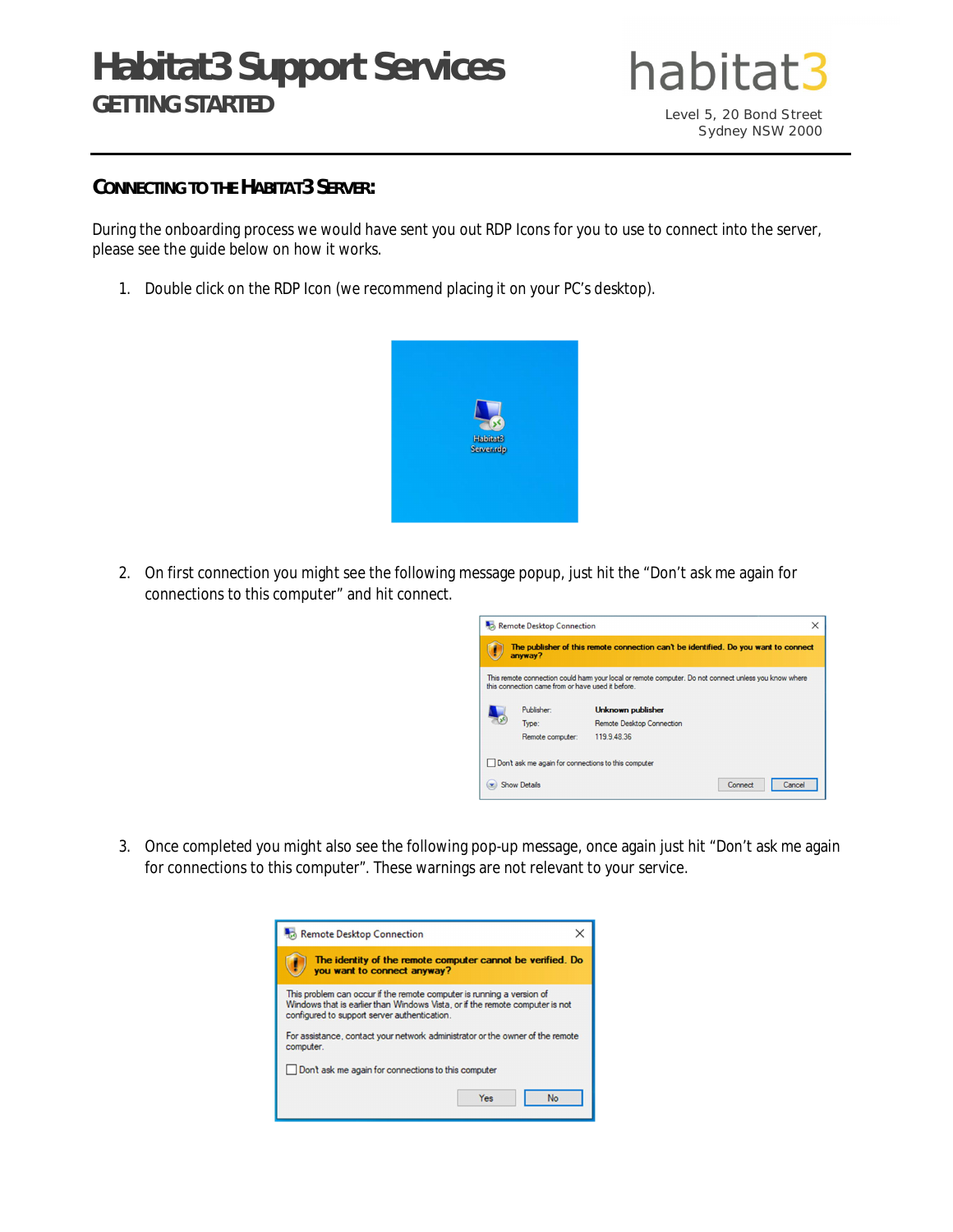# **Habitat3 Support Services GETTING STARTED**



## **CONNECTING TO THE HABITAT3 SERVER:**

During the onboarding process we would have sent you out RDP Icons for you to use to connect into the server, please see the guide below on how it works.

1. Double click on the RDP Icon (we recommend placing it on your PC's desktop).



2. On first connection you might see the following message popup, just hit the "Don't ask me again for connections to this computer" and hit connect.



3. Once completed you might also see the following pop-up message, once again just hit "Don't ask me again for connections to this computer". These warnings are not relevant to your service.

| Remote Desktop Connection                                                                                                                                                                             |
|-------------------------------------------------------------------------------------------------------------------------------------------------------------------------------------------------------|
| The identity of the remote computer cannot be verified. Do<br>you want to connect anyway?                                                                                                             |
| This problem can occur if the remote computer is running a version of<br>Windows that is earlier than Windows Vista, or if the remote computer is not<br>configured to support server authentication. |
| For assistance, contact your network administrator or the owner of the remote<br>computer.                                                                                                            |
| Don't ask me again for connections to this computer                                                                                                                                                   |
| <b>No</b><br>Yes                                                                                                                                                                                      |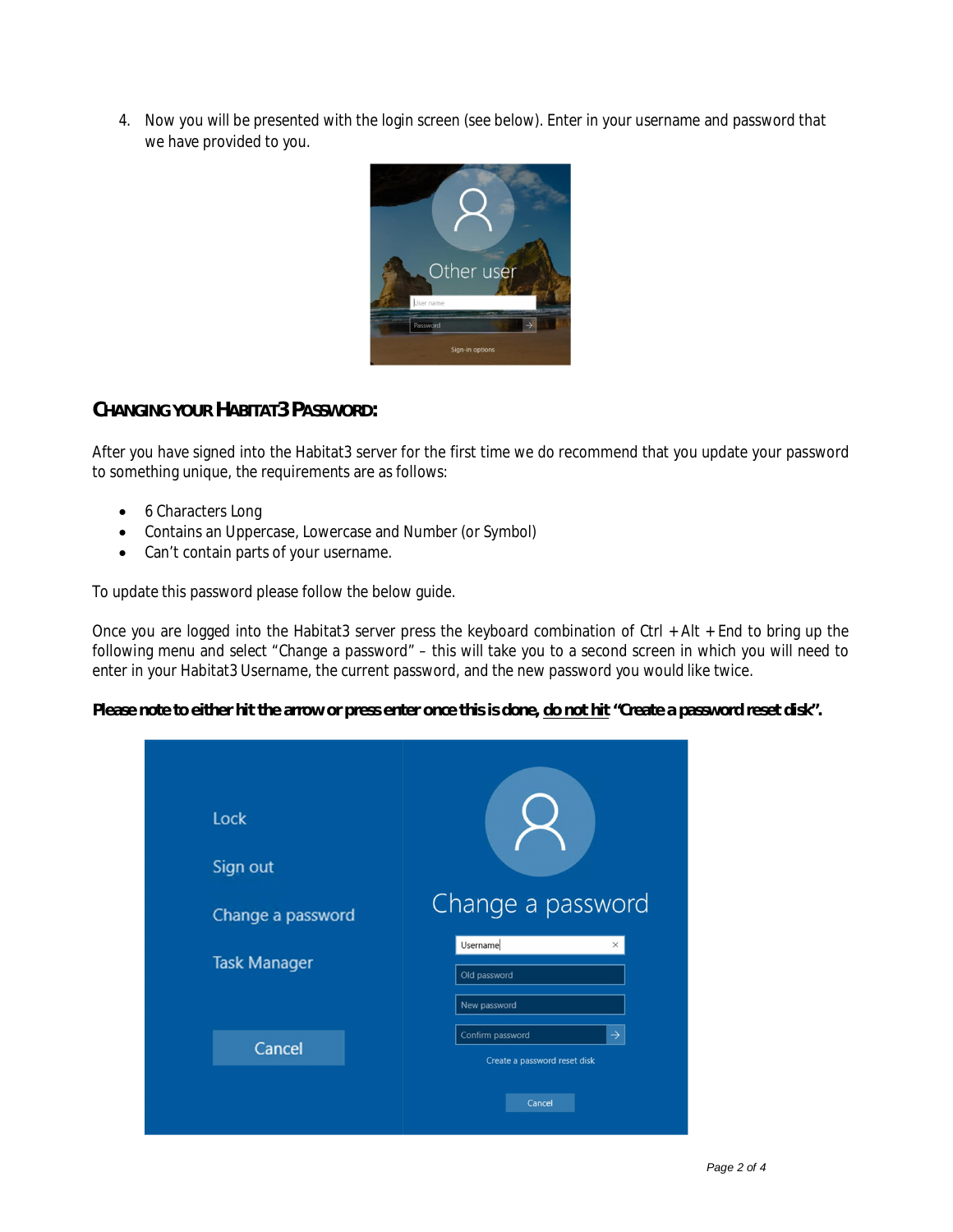4. Now you will be presented with the login screen (see below). Enter in your username and password that we have provided to you.



# **CHANGING YOUR HABITAT3 PASSWORD:**

After you have signed into the Habitat3 server for the first time we do recommend that you update your password to something unique, the requirements are as follows:

- 6 Characters Long
- Contains an Uppercase, Lowercase and Number (or Symbol)
- Can't contain parts of your username.

To update this password please follow the below guide.

Once you are logged into the Habitat3 server press the keyboard combination of Ctrl + Alt + End to bring up the following menu and select "Change a password" – this will take you to a second screen in which you will need to enter in your Habitat3 Username, the current password, and the new password you would like twice.

**Please note to either hit the arrow or press enter once this is done, do not hit "Create a password reset disk".**

| Lock<br>Sign out<br>Change a password | Change a password                                                           |
|---------------------------------------|-----------------------------------------------------------------------------|
| <b>Task Manager</b>                   | Username<br>$\times$<br>Old password<br>New password                        |
| Cancel                                | Confirm password<br>$\rightarrow$<br>Create a password reset disk<br>Cancel |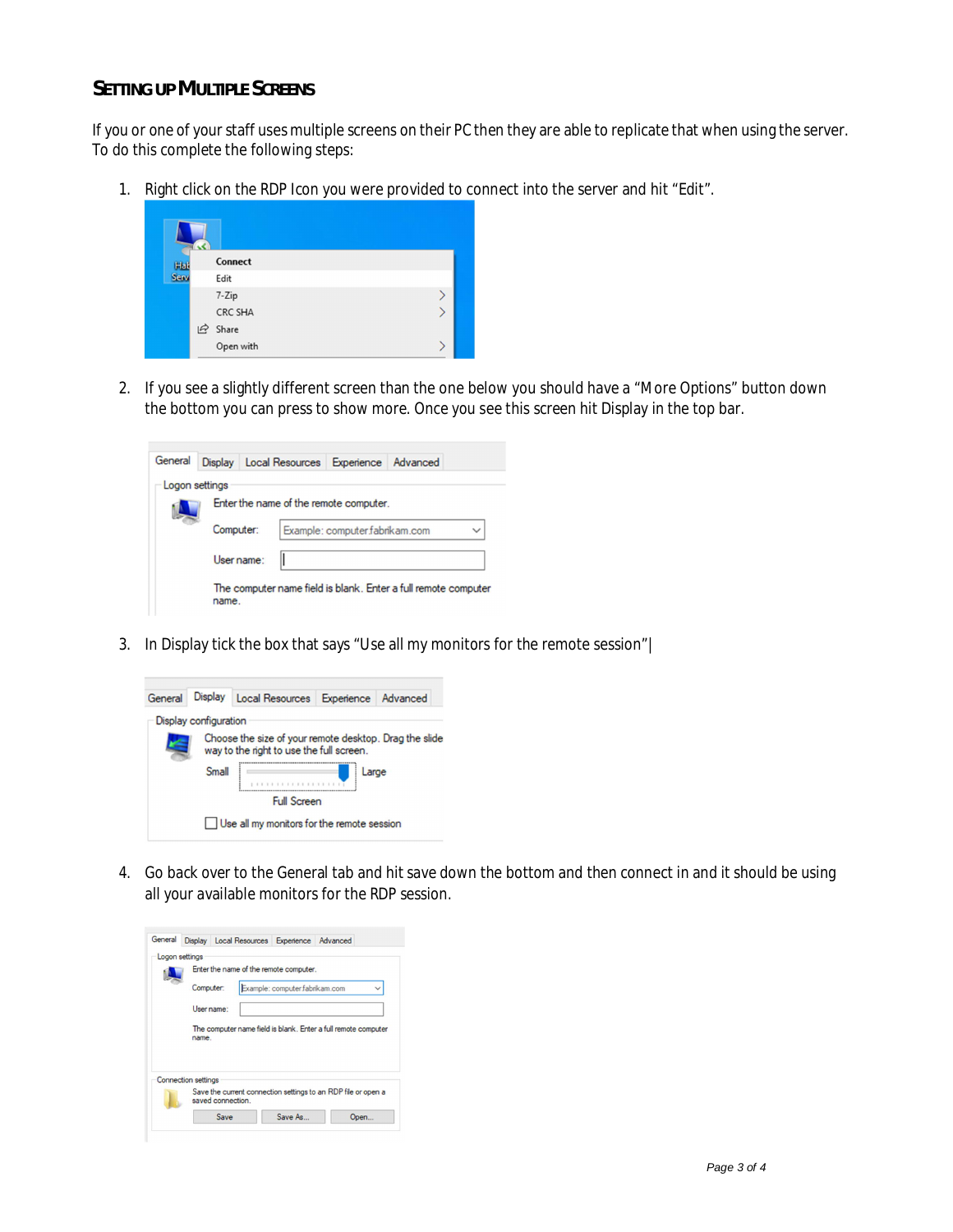## **SETTING UP MULTIPLE SCREENS**

If you or one of your staff uses multiple screens on their PC then they are able to replicate that when using the server. To do this complete the following steps:

1. Right click on the RDP Icon you were provided to connect into the server and hit "Edit".

| Hat  | Connect   |  |
|------|-----------|--|
| Serv | Edit      |  |
|      | 7-Zip     |  |
|      | CRC SHA   |  |
|      | In Share  |  |
|      | Open with |  |

2. If you see a slightly different screen than the one below you should have a "More Options" button down the bottom you can press to show more. Once you see this screen hit Display in the top bar.



3. In Display tick the box that says "Use all my monitors for the remote session"|



4. Go back over to the General tab and hit save down the bottom and then connect in and it should be using all your available monitors for the RDP session.

| Logon settings<br>Enter the name of the remote computer.                           |
|------------------------------------------------------------------------------------|
| Example: computer.fabrikam.com<br>Computer:                                        |
| User name:                                                                         |
|                                                                                    |
| The computer name field is blank. Enter a full remote computer<br>name.            |
| <b>Connection settings</b>                                                         |
| Save the current connection settings to an RDP file or open a<br>saved connection. |